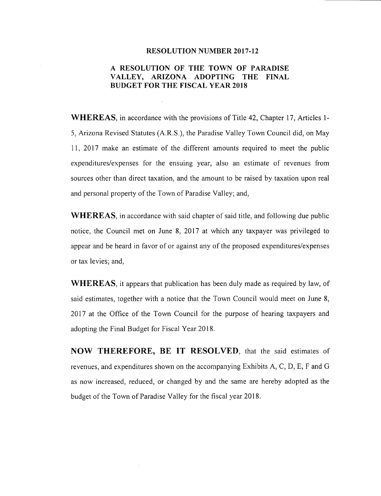#### **RESOLUTION NUMBER 2017-12**

# **A RESOLUTION OF THE TOWN OF PARADISE VALLEY, ARIZONA ADOPTING THE FINAL BUDGET FOR THE FISCAL YEAR 2018**

**WHEREAS,** in accordance with the provisions of Title 42, Chapter 17, Articles 1- 5, Arizona Revised Statutes (A.R.S.), the Paradise Valley Town Council did, on May 11, 2017 make an estimate of the different amounts required to meet the public expenditures/expenses for the ensuing year, also an estimate of revenues from sources other than direct taxation, and the amount to be raised by taxation upon real and personal property of the Town of Paradise Valley; and,

**WHEREAS,** in accordance with said chapter of said title, and following due public notice, the Council met on June 8, 2017 at which any taxpayer was privileged to appear and be heard in favor of or against any of the proposed expenditures/expenses or tax levies; and,

**WHEREAS,** it appears that publication has been duly made as required by law, of said estimates, together with a notice that the Town Council would meet on June 8, 2017 at the Office of the Town Council for the purpose of hearing taxpayers and adopting the Final Budget for Fiscal Year 2018.

**NOW THEREFORE, BE IT RESOLVED,** that the said estimates of revenues, and expenditures shown on the accompanying Exhibits A, C, D, E, F and G as now increased, reduced, or changed by and the same are hereby adopted as the budget of the Town of Paradise Valley for the fiscal year 2018.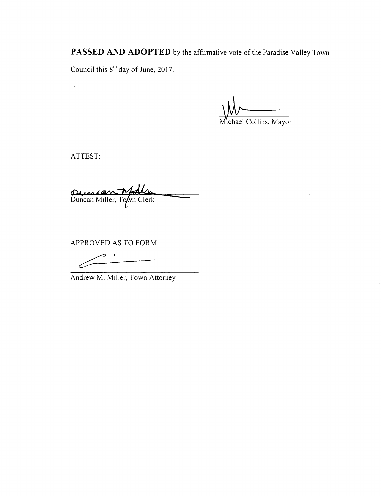**PASSED AND ADOPTED** by the affirmative vote of the Paradise Valley Town

 $\sim$ 

Council this  $8<sup>th</sup>$  day of June, 2017.

Wichael Collins, Mayor

ATTEST:

 $\bar{z}$ 

 $\hat{\mathcal{A}}$ 

Duncan Miller, Town Clerk

APPROVED AS TO FORM

PROVED AS TO FORE

Andrew M. Miller, Town Attorney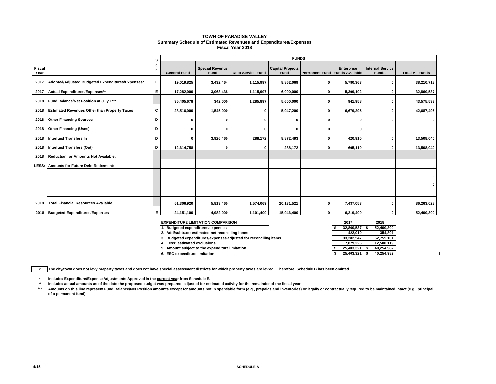#### **TOWN OF PARADISE VALLEY Summary Schedule of Estimated Revenues and Expenditures/Expenses Fiscal Year 2018**

|                |                                                     |        | <b>FUNDS</b><br>s   |                                |                          |                                 |                                |            |                                         |                        |  |  |  |  |
|----------------|-----------------------------------------------------|--------|---------------------|--------------------------------|--------------------------|---------------------------------|--------------------------------|------------|-----------------------------------------|------------------------|--|--|--|--|
| Fiscal<br>Year |                                                     | c<br>h | <b>General Fund</b> | <b>Special Revenue</b><br>Fund | <b>Debt Service Fund</b> | <b>Capital Projects</b><br>Fund | Permanent Fund Funds Available | Enterprise | <b>Internal Service</b><br><b>Funds</b> | <b>Total All Funds</b> |  |  |  |  |
| 2017           | Adopted/Adjusted Budgeted Expenditures/Expenses*    | Е      | 19,019,825          | 3,432,464                      | 1,115,997                | 8,862,069                       | $\mathbf 0$                    | 5,780,363  | $\mathbf 0$                             | 38,210,718             |  |  |  |  |
| 2017           | Actual Expenditures/Expenses**                      | Е      | 17,282,000          | 3,063,438                      | 1,115,997                | 6,000,000                       | 0                              | 5,399,102  | $\mathbf 0$                             | 32,860,537             |  |  |  |  |
| 2018           | Fund Balance/Net Position at July 1***              |        | 35,405,678          | 342,000                        | 1,285,897                | 5,600,000                       | $\mathbf 0$                    | 941,958    | $\mathbf 0$                             | 43,575,533             |  |  |  |  |
| 2018           | <b>Estimated Revenues Other than Property Taxes</b> | C      | 28,516,000          | 1,545,000                      | 0                        | 5,947,200                       | 0                              | 6,679,295  | $\mathbf 0$                             | 42,687,495             |  |  |  |  |
|                | 2018 Other Financing Sources                        | D      | 0                   | 0                              | 0                        | 0                               | 0                              | 0          | $\mathbf 0$                             | 0                      |  |  |  |  |
| 2018           | <b>Other Financing (Uses)</b>                       | D      | $\Omega$            | 0                              | $\Omega$                 | 0                               | $\Omega$                       | $\Omega$   | $\mathbf 0$                             | 0                      |  |  |  |  |
| 2018           | Interfund Transfers In                              | D      | $\mathbf 0$         | 3,926,465                      | 288,172                  | 8,872,493                       | 0                              | 420,910    | $\mathbf 0$                             | 13,508,040             |  |  |  |  |
| 2018           | <b>Interfund Transfers (Out)</b>                    | D      | 12,614,758          | 0                              | $\Omega$                 | 288,172                         | 0                              | 605,110    | $\mathbf 0$                             | 13,508,040             |  |  |  |  |
| 2018           | <b>Reduction for Amounts Not Available:</b>         |        |                     |                                |                          |                                 |                                |            |                                         |                        |  |  |  |  |
| LESS:          | <b>Amounts for Future Debt Retirement:</b>          |        |                     |                                |                          |                                 |                                |            |                                         | 0                      |  |  |  |  |
|                |                                                     |        |                     |                                |                          |                                 |                                |            |                                         | 0                      |  |  |  |  |
|                |                                                     |        |                     |                                |                          |                                 |                                |            |                                         | 0                      |  |  |  |  |
|                |                                                     |        |                     |                                |                          |                                 |                                |            |                                         | 0                      |  |  |  |  |
| 2018           | <b>Total Financial Resources Available</b>          |        | 51,306,920          | 5,813,465                      | 1,574,069                | 20,131,521                      | $\mathbf 0$                    | 7,437,053  | $\mathbf 0$                             | 86,263,028             |  |  |  |  |
| 2018           | <b>Budgeted Expenditures/Expenses</b>               | Е      | 24.151.100          | 4,982,000                      | 1,101,400                | 15,946,400                      | $\mathbf 0$                    | 6,219,400  | 0                                       | 52,400,300             |  |  |  |  |

| <b>EXPENDITURE LIMITATION COMPARISON</b>                         | 2017       | 2018       |
|------------------------------------------------------------------|------------|------------|
| 1. Budgeted expenditures/expenses                                | 32,860,537 | 52,400,300 |
| 2. Add/subtract: estimated net reconciling items                 | 422.010    | 354.801    |
| 3. Budgeted expenditures/expenses adjusted for reconciling items | 33.282.547 | 52,755,101 |
| 4. Less: estimated exclusions                                    | 7.879.226  | 12,500,119 |
| 5. Amount subject to the expenditure limitation                  | 25.403.321 | 40.254.982 |
| 6. EEC expenditure limitation                                    | 25.403.321 | 40.254.982 |

**x The city/town does not levy property taxes and does not have special assessment districts for which property taxes are levied. Therefore, Schedule B has been omitted.**

**\* Includes Expenditure/Expense Adjustments Approved in the current year from Schedule E.** 

**\*\* Includes actual amounts as of the date the proposed budget was prepared, adjusted for estimated activity for the remainder of the fiscal year.**

Amounts on this line represent Fund Balance/Net Position amounts except for amounts not in spendable form (e.g., prepaids and inventories) or legally or contractually required to be maintained intact (e.g., principal **of a permanent fund).**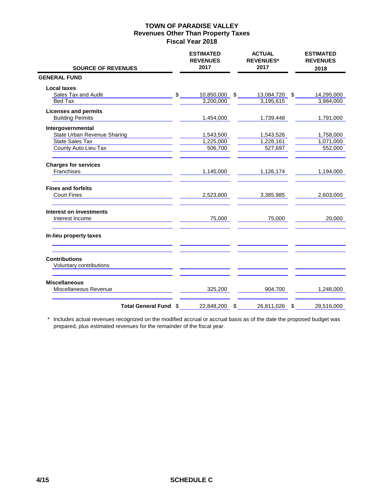| <b>SOURCE OF REVENUES</b>                       |      | <b>ESTIMATED</b><br><b>REVENUES</b><br>2017 | <b>ACTUAL</b><br><b>REVENUES*</b><br>2017 | <b>ESTIMATED</b><br><b>REVENUES</b><br>2018 |
|-------------------------------------------------|------|---------------------------------------------|-------------------------------------------|---------------------------------------------|
| <b>GENERAL FUND</b>                             |      |                                             |                                           |                                             |
| <b>Local taxes</b>                              |      |                                             |                                           |                                             |
| Sales Tax and Audit                             | $$_$ | 10,850,000                                  | $\sim$<br>13,084,720 \$                   | 14,295,000                                  |
| Bed Tax                                         |      | 3,200,000                                   | 3,195,615                                 | 3,984,000                                   |
| <b>Licenses and permits</b>                     |      |                                             |                                           |                                             |
| <b>Building Permits</b>                         |      | 1,454,000                                   | 1,739,448                                 | 1,791,000                                   |
| Intergovernmental                               |      |                                             |                                           |                                             |
| State Urban Revenue Sharing                     |      | 1,543,500                                   | 1,543,526                                 | 1,758,000                                   |
| <b>State Sales Tax</b>                          |      | 1,225,000                                   | 1,228,161                                 | 1,071,000                                   |
| County Auto Lieu Tax                            |      | 506,700                                     | 527,697                                   | 552,000                                     |
| <b>Charges for services</b>                     |      |                                             |                                           |                                             |
| Franchises                                      |      | 1,145,000                                   | 1,126,174                                 | 1,194,000                                   |
| <b>Fines and forfeits</b>                       |      |                                             |                                           |                                             |
| <b>Court Fines</b>                              |      | 2,523,800                                   | 3,385,985                                 | 2,603,000                                   |
| <b>Interest on investments</b>                  |      |                                             |                                           |                                             |
| Interest Income                                 |      | 75,000                                      | 75,000                                    | 20,000                                      |
| In-lieu property taxes                          |      |                                             |                                           |                                             |
| <b>Contributions</b><br>Voluntary contributions |      |                                             |                                           |                                             |
|                                                 |      |                                             |                                           |                                             |
| <b>Miscellaneous</b><br>Miscellaneous Revenue   |      | 325,200                                     | 904,700                                   | 1,248,000                                   |
| <b>Total General Fund</b>                       | \$   | 22,848,200                                  | \$<br>26,811,026                          | \$<br>28,516,000                            |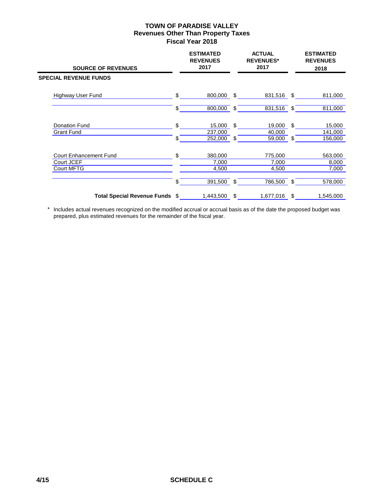| <b>SOURCE OF REVENUES</b>       | <b>ESTIMATED</b><br><b>REVENUES</b><br>2017 |     | <b>ACTUAL</b><br><b>REVENUES*</b><br>2017 |      | <b>ESTIMATED</b><br><b>REVENUES</b><br>2018 |
|---------------------------------|---------------------------------------------|-----|-------------------------------------------|------|---------------------------------------------|
| <b>SPECIAL REVENUE FUNDS</b>    |                                             |     |                                           |      |                                             |
| Highway User Fund               | \$<br>800,000                               | \$  | 831,516 \$                                |      | 811,000                                     |
|                                 | \$<br>800,000                               | \$  | 831,516                                   | - \$ | 811,000                                     |
| Donation Fund                   | \$<br>15,000                                | \$  | 19,000                                    | \$   | 15,000                                      |
| <b>Grant Fund</b>               | \$<br>237,000<br>252,000                    | \$. | 40,000<br>59,000                          | \$   | 141,000<br>156,000                          |
| <b>Court Enhancement Fund</b>   | \$<br>380,000                               |     | 775,000                                   |      | 563,000                                     |
| Court JCEF<br><b>Court MFTG</b> | 7,000<br>4,500                              |     | 7,000<br>4,500                            |      | 8,000<br>7,000                              |
|                                 | \$<br>391,500                               | \$  | 786,500                                   | \$   | 578,000                                     |
| Total Special Revenue Funds \$  | 1,443,500                                   | \$  | 1,677,016                                 | \$   | 1,545,000                                   |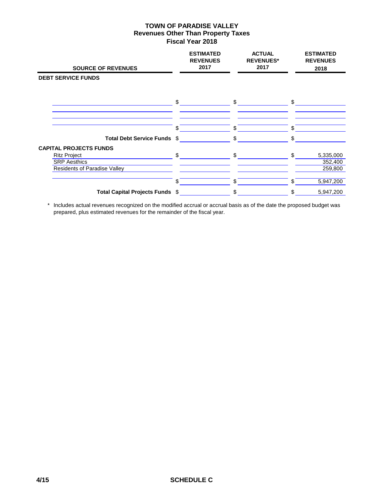| <b>SOURCE OF REVENUES</b>                                                                                          |               | <b>ESTIMATED</b><br><b>REVENUES</b><br>2017 | <b>ACTUAL</b><br><b>REVENUES*</b><br>2017 |              | <b>ESTIMATED</b><br><b>REVENUES</b><br>2018 |
|--------------------------------------------------------------------------------------------------------------------|---------------|---------------------------------------------|-------------------------------------------|--------------|---------------------------------------------|
| <b>DEBT SERVICE FUNDS</b>                                                                                          |               |                                             |                                           |              |                                             |
|                                                                                                                    | $\mathsf{\$}$ |                                             | $\mathsf{S}$                              | $\mathbb{S}$ |                                             |
| Total Debt Service Funds \$                                                                                        | \$.           | \$                                          |                                           | \$           |                                             |
| <b>CAPITAL PROJECTS FUNDS</b><br><b>Ritz Project</b><br><b>SRP</b> Aesthics<br><b>Residents of Paradise Valley</b> | \$            | \$                                          |                                           | \$.          | 5,335,000<br>352,400<br>259,800             |
|                                                                                                                    | \$            | \$                                          |                                           | \$.          | 5,947,200                                   |
| Total Capital Projects Funds \$                                                                                    |               | \$                                          |                                           | \$.          | 5,947,200                                   |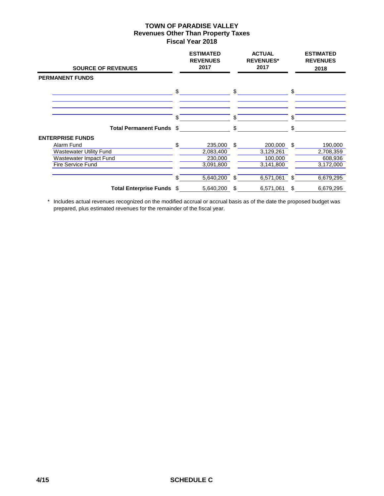| <b>SOURCE OF REVENUES</b>      |     | <b>ESTIMATED</b><br><b>REVENUES</b><br>2017 |      | <b>ACTUAL</b><br><b>REVENUES*</b><br>2017 |     | <b>ESTIMATED</b><br><b>REVENUES</b><br>2018 |
|--------------------------------|-----|---------------------------------------------|------|-------------------------------------------|-----|---------------------------------------------|
| <b>PERMANENT FUNDS</b>         |     |                                             |      |                                           |     |                                             |
|                                | \$  |                                             | \$   |                                           | \$  |                                             |
|                                | S   |                                             | \$.  |                                           | S.  |                                             |
| <b>Total Permanent Funds</b>   | \$  |                                             |      |                                           | \$  |                                             |
| <b>ENTERPRISE FUNDS</b>        |     |                                             |      |                                           |     |                                             |
| Alarm Fund                     | \$. | 235,000                                     | \$   | 200,000                                   | -\$ | 190,000                                     |
| <b>Wastewater Utility Fund</b> |     | 2,083,400                                   |      | 3,129,261                                 |     | 2,708,359                                   |
| Wastewater Impact Fund         |     | 230,000                                     |      | 100,000                                   |     | 608,936                                     |
| Fire Service Fund              |     | 3,091,800                                   |      | 3,141,800                                 |     | 3,172,000                                   |
|                                | \$  | 5,640,200                                   | - \$ | 6,571,061                                 | \$  | 6,679,295                                   |
| Total Enterprise Funds \$      |     | 5,640,200                                   | \$   | 6,571,061                                 | \$  | 6,679,295                                   |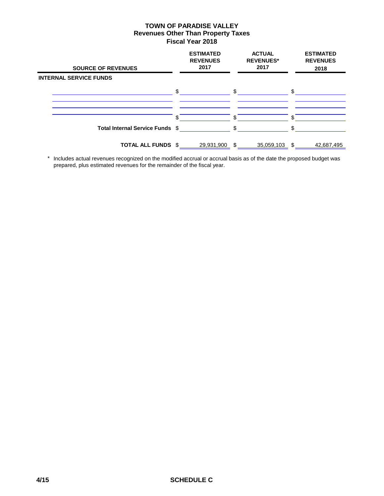| <b>SOURCE OF REVENUES</b>       |              | <b>ESTIMATED</b><br><b>REVENUES</b><br>2017 |     | <b>ACTUAL</b><br><b>REVENUES*</b><br>2017 |     | <b>ESTIMATED</b><br><b>REVENUES</b><br>2018 |
|---------------------------------|--------------|---------------------------------------------|-----|-------------------------------------------|-----|---------------------------------------------|
| <b>INTERNAL SERVICE FUNDS</b>   |              |                                             |     |                                           |     |                                             |
|                                 | $\mathbb{S}$ |                                             | \$  |                                           | \$. |                                             |
|                                 |              |                                             |     |                                           |     |                                             |
|                                 | S            |                                             | \$. |                                           |     |                                             |
| Total Internal Service Funds \$ |              |                                             | \$. |                                           |     |                                             |
| <b>TOTAL ALL FUNDS</b>          | \$           | 29,931,900                                  | \$. | 35,059,103                                | £.  | 42,687,495                                  |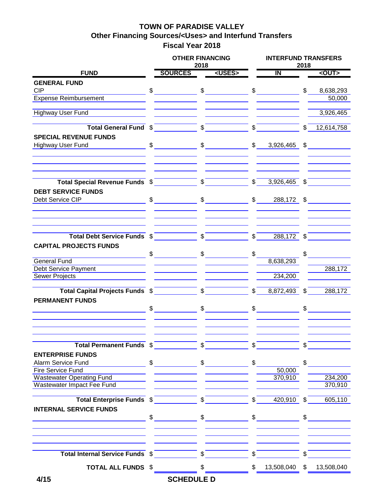# **TOWN OF PARADISE VALLEY Other Financing Sources/<Uses> and Interfund Transfers Fiscal Year 2018**

|                                      | <b>OTHER FINANCING</b>                                                                                                                                                                                                                                                                                              | 2018            |                                                                                                                                                                                                                                                                                                                     |               |                         | <b>INTERFUND TRANSFERS</b><br>2018 |               |  |  |
|--------------------------------------|---------------------------------------------------------------------------------------------------------------------------------------------------------------------------------------------------------------------------------------------------------------------------------------------------------------------|-----------------|---------------------------------------------------------------------------------------------------------------------------------------------------------------------------------------------------------------------------------------------------------------------------------------------------------------------|---------------|-------------------------|------------------------------------|---------------|--|--|
| <b>FUND</b>                          | <b>SOURCES</b>                                                                                                                                                                                                                                                                                                      |                 | <uses></uses>                                                                                                                                                                                                                                                                                                       |               | $\overline{\mathsf{I}}$ |                                    | <out></out>   |  |  |
| <b>GENERAL FUND</b>                  |                                                                                                                                                                                                                                                                                                                     |                 |                                                                                                                                                                                                                                                                                                                     |               |                         |                                    |               |  |  |
| <b>CIP</b>                           | $\sim$                                                                                                                                                                                                                                                                                                              |                 | $\frac{1}{2}$ $\frac{1}{2}$ $\frac{1}{2}$ $\frac{1}{2}$ $\frac{1}{2}$ $\frac{1}{2}$ $\frac{1}{2}$ $\frac{1}{2}$ $\frac{1}{2}$ $\frac{1}{2}$ $\frac{1}{2}$ $\frac{1}{2}$ $\frac{1}{2}$ $\frac{1}{2}$ $\frac{1}{2}$ $\frac{1}{2}$ $\frac{1}{2}$ $\frac{1}{2}$ $\frac{1}{2}$ $\frac{1}{2}$ $\frac{1}{2}$ $\frac{1}{2}$ |               |                         | $\mathfrak{L}$                     | 8,638,293     |  |  |
| Expense Reimbursement                |                                                                                                                                                                                                                                                                                                                     |                 |                                                                                                                                                                                                                                                                                                                     |               |                         |                                    | 50,000        |  |  |
|                                      |                                                                                                                                                                                                                                                                                                                     |                 |                                                                                                                                                                                                                                                                                                                     |               |                         |                                    |               |  |  |
| <b>Highway User Fund</b>             |                                                                                                                                                                                                                                                                                                                     |                 |                                                                                                                                                                                                                                                                                                                     |               |                         |                                    | 3,926,465     |  |  |
| Total General Fund \$                |                                                                                                                                                                                                                                                                                                                     | $\sqrt{2}$      |                                                                                                                                                                                                                                                                                                                     | $\sqrt{s}$    |                         | $\overline{\mathbb{S}}$            | 12,614,758    |  |  |
| <b>SPECIAL REVENUE FUNDS</b>         |                                                                                                                                                                                                                                                                                                                     |                 |                                                                                                                                                                                                                                                                                                                     |               |                         |                                    |               |  |  |
| Highway User Fund                    | $\frac{1}{2}$                                                                                                                                                                                                                                                                                                       |                 | $\frac{1}{2}$                                                                                                                                                                                                                                                                                                       | $\mathfrak s$ | 3,926,465               | \$                                 |               |  |  |
|                                      |                                                                                                                                                                                                                                                                                                                     |                 |                                                                                                                                                                                                                                                                                                                     |               |                         |                                    |               |  |  |
|                                      |                                                                                                                                                                                                                                                                                                                     |                 |                                                                                                                                                                                                                                                                                                                     |               |                         |                                    |               |  |  |
| Total Special Revenue Funds \$       |                                                                                                                                                                                                                                                                                                                     | $\sqrt{S}$      |                                                                                                                                                                                                                                                                                                                     | $\sqrt{s}$    | $3,926,465$ \$          |                                    |               |  |  |
| <b>DEBT SERVICE FUNDS</b>            |                                                                                                                                                                                                                                                                                                                     |                 |                                                                                                                                                                                                                                                                                                                     |               |                         |                                    |               |  |  |
| Debt Service CIP Newsale Service CIP | $\sim$                                                                                                                                                                                                                                                                                                              |                 | $\sim$                                                                                                                                                                                                                                                                                                              |               | $\frac{1}{2}$           |                                    | 288,172 \$    |  |  |
|                                      |                                                                                                                                                                                                                                                                                                                     |                 |                                                                                                                                                                                                                                                                                                                     |               |                         |                                    |               |  |  |
| Total Debt Service Funds \$          |                                                                                                                                                                                                                                                                                                                     |                 |                                                                                                                                                                                                                                                                                                                     | $\sqrt{s}$    | $288,172$ \$            |                                    |               |  |  |
| <b>CAPITAL PROJECTS FUNDS</b>        |                                                                                                                                                                                                                                                                                                                     |                 |                                                                                                                                                                                                                                                                                                                     |               |                         |                                    |               |  |  |
|                                      | $\frac{1}{2}$                                                                                                                                                                                                                                                                                                       |                 | $\frac{1}{2}$                                                                                                                                                                                                                                                                                                       | \$            |                         | \$                                 |               |  |  |
| <b>General Fund</b>                  |                                                                                                                                                                                                                                                                                                                     |                 |                                                                                                                                                                                                                                                                                                                     |               | 8,638,293               |                                    |               |  |  |
| <b>Debt Service Payment</b>          |                                                                                                                                                                                                                                                                                                                     |                 |                                                                                                                                                                                                                                                                                                                     |               |                         |                                    | 288,172       |  |  |
| Sewer Projects                       |                                                                                                                                                                                                                                                                                                                     |                 |                                                                                                                                                                                                                                                                                                                     |               | 234,200                 |                                    |               |  |  |
| Total Capital Projects Funds \$      |                                                                                                                                                                                                                                                                                                                     |                 | $\frac{1}{2}$                                                                                                                                                                                                                                                                                                       | $\sqrt{S}$    | $8,872,493$ \$          |                                    | 288,172       |  |  |
| <b>PERMANENT FUNDS</b>               |                                                                                                                                                                                                                                                                                                                     |                 |                                                                                                                                                                                                                                                                                                                     |               |                         |                                    |               |  |  |
|                                      |                                                                                                                                                                                                                                                                                                                     |                 |                                                                                                                                                                                                                                                                                                                     |               |                         |                                    |               |  |  |
|                                      |                                                                                                                                                                                                                                                                                                                     |                 |                                                                                                                                                                                                                                                                                                                     |               | $\frac{1}{2}$           |                                    | $\frac{1}{2}$ |  |  |
|                                      |                                                                                                                                                                                                                                                                                                                     |                 |                                                                                                                                                                                                                                                                                                                     |               |                         |                                    |               |  |  |
| Total Permanent Funds \$             |                                                                                                                                                                                                                                                                                                                     |                 |                                                                                                                                                                                                                                                                                                                     | $\mathcal{S}$ |                         | \$.                                |               |  |  |
| <b>ENTERPRISE FUNDS</b>              |                                                                                                                                                                                                                                                                                                                     |                 |                                                                                                                                                                                                                                                                                                                     |               |                         |                                    |               |  |  |
| Alarm Service Fund                   | $\frac{1}{2}$ $\frac{1}{2}$ $\frac{1}{2}$ $\frac{1}{2}$ $\frac{1}{2}$ $\frac{1}{2}$ $\frac{1}{2}$ $\frac{1}{2}$ $\frac{1}{2}$ $\frac{1}{2}$ $\frac{1}{2}$ $\frac{1}{2}$ $\frac{1}{2}$ $\frac{1}{2}$ $\frac{1}{2}$ $\frac{1}{2}$ $\frac{1}{2}$ $\frac{1}{2}$ $\frac{1}{2}$ $\frac{1}{2}$ $\frac{1}{2}$ $\frac{1}{2}$ |                 |                                                                                                                                                                                                                                                                                                                     | \$            |                         | \$                                 |               |  |  |
| Fire Service Fund                    |                                                                                                                                                                                                                                                                                                                     |                 |                                                                                                                                                                                                                                                                                                                     |               | 50,000                  |                                    |               |  |  |
| <b>Wastewater Operating Fund</b>     |                                                                                                                                                                                                                                                                                                                     |                 |                                                                                                                                                                                                                                                                                                                     |               | 370,910                 |                                    | 234,200       |  |  |
| Wastewater Impact Fee Fund           |                                                                                                                                                                                                                                                                                                                     |                 |                                                                                                                                                                                                                                                                                                                     |               |                         |                                    | 370,910       |  |  |
| Total Enterprise Funds \$            |                                                                                                                                                                                                                                                                                                                     | $\mathcal{S}^-$ |                                                                                                                                                                                                                                                                                                                     | $\mathcal{S}$ | 420,910                 | $\mathbb{S}$                       | 605,110       |  |  |
| <b>INTERNAL SERVICE FUNDS</b>        |                                                                                                                                                                                                                                                                                                                     |                 |                                                                                                                                                                                                                                                                                                                     |               |                         |                                    |               |  |  |
|                                      | $\mathbb S$                                                                                                                                                                                                                                                                                                         |                 | $\frac{1}{\sqrt{2}}$                                                                                                                                                                                                                                                                                                |               | $\frac{1}{2}$           |                                    | $\mathbb{S}$  |  |  |
|                                      |                                                                                                                                                                                                                                                                                                                     |                 |                                                                                                                                                                                                                                                                                                                     |               |                         |                                    |               |  |  |
| Total Internal Service Funds \$      |                                                                                                                                                                                                                                                                                                                     | $\sqrt{s}$      |                                                                                                                                                                                                                                                                                                                     | \$            |                         |                                    |               |  |  |
| <b>TOTAL ALL FUNDS</b>               | \$                                                                                                                                                                                                                                                                                                                  | \$              |                                                                                                                                                                                                                                                                                                                     | \$            | 13,508,040              | \$                                 | 13,508,040    |  |  |
| 4/15                                 | <b>SCHEDULE D</b>                                                                                                                                                                                                                                                                                                   |                 |                                                                                                                                                                                                                                                                                                                     |               |                         |                                    |               |  |  |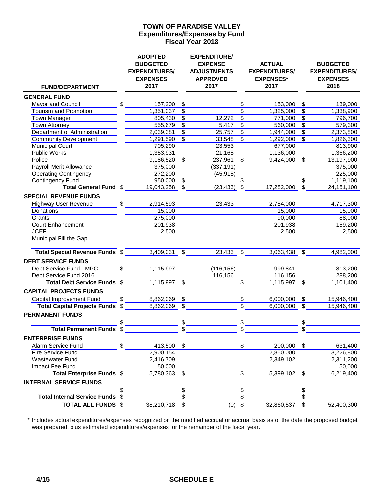## **Expenditures/Expenses by Fund Fiscal Year 2018 TOWN OF PARADISE VALLEY**

| <b>FUND/DEPARTMENT</b>              |     | <b>ADOPTED</b><br><b>BUDGETED</b><br><b>EXPENDITURES/</b><br><b>EXPENSES</b><br>2017 |                          | <b>EXPENDITURE/</b><br><b>EXPENSE</b><br><b>ADJUSTMENTS</b><br><b>APPROVED</b><br>2017 |                           | <b>ACTUAL</b><br><b>EXPENDITURES/</b><br><b>EXPENSES*</b><br>2017 |                 | <b>BUDGETED</b><br><b>EXPENDITURES/</b><br><b>EXPENSES</b><br>2018 |
|-------------------------------------|-----|--------------------------------------------------------------------------------------|--------------------------|----------------------------------------------------------------------------------------|---------------------------|-------------------------------------------------------------------|-----------------|--------------------------------------------------------------------|
| <b>GENERAL FUND</b>                 |     |                                                                                      |                          |                                                                                        |                           |                                                                   |                 |                                                                    |
| Mayor and Council                   | \$  | 157,200                                                                              | \$                       |                                                                                        | \$                        | 153,000                                                           | $\sqrt[6]{2}$   | 139,000                                                            |
| <b>Tourism and Promotion</b>        |     | 1,351,037                                                                            | $\overline{\$}$          |                                                                                        | $\overline{\$}$           | 1,325,000                                                         | $\overline{\$}$ | 1,338,900                                                          |
| Town Manager                        |     | 805,430                                                                              | \$                       | 12,272                                                                                 | \$                        | 771,000                                                           | \$              | 796,700                                                            |
| Town Attorney                       |     | 555,679                                                                              | $\overline{\$}$          | 5,417                                                                                  | \$                        | 560,000                                                           | $\overline{\$}$ | 579,300                                                            |
| Department of Administration        |     | 2,039,381                                                                            | $\overline{\$}$          | 25,757                                                                                 | $\overline{\$}$           | 1,944,000                                                         | $\overline{\$}$ | 2,373,800                                                          |
| <b>Community Development</b>        |     | 1,291,590                                                                            | $\overline{\$}$          | 33,548                                                                                 | \$                        | 1,292,000                                                         | $\overline{\$}$ | 1,826,300                                                          |
| <b>Municipal Court</b>              |     | 705,290                                                                              |                          | 23,553                                                                                 |                           | 677,000                                                           |                 | 813,900                                                            |
| <b>Public Works</b>                 |     | 1,353,931                                                                            |                          | 21,165                                                                                 |                           | 1,136,000                                                         |                 | 1,366,200                                                          |
| Police                              |     | 9,186,520                                                                            | $\overline{\$}$          | 237,961                                                                                | $\overline{\$}$           | 9,424,000                                                         | \$              | 13,197,900                                                         |
| <b>Payroll Merit Allowance</b>      |     | 375,000                                                                              |                          | (337, 191)                                                                             |                           |                                                                   |                 | 375,000                                                            |
| <b>Operating Contingency</b>        |     | 272,200                                                                              |                          | (45, 915)                                                                              |                           |                                                                   |                 | 225,000                                                            |
| <b>Contingency Fund</b>             |     | 950,000                                                                              | $\overline{\$}$          |                                                                                        | \$                        |                                                                   | $\overline{\$}$ | 1,119,100                                                          |
| <b>Total General Fund</b>           | \$  | 19,043,258                                                                           | $\overline{\mathbb{S}}$  | (23, 433)                                                                              | $\overline{\mathcal{S}}$  | 17,282,000                                                        | $\overline{\$}$ | 24, 151, 100                                                       |
| <b>SPECIAL REVENUE FUNDS</b>        |     |                                                                                      |                          |                                                                                        |                           |                                                                   |                 |                                                                    |
| <b>Highway User Revenue</b>         | \$  | 2,914,593                                                                            |                          | 23,433                                                                                 |                           | 2,754,000                                                         |                 | 4,717,300                                                          |
| Donations                           |     | 15,000                                                                               |                          |                                                                                        |                           | 15,000                                                            |                 | 15,000                                                             |
| Grants                              |     | 275,000                                                                              |                          |                                                                                        |                           | 90,000                                                            |                 | 88,000                                                             |
| <b>Court Enhancement</b>            |     | 201,938                                                                              |                          |                                                                                        |                           | 201,938                                                           |                 | 159,200                                                            |
| <b>JCEF</b>                         |     | 2,500                                                                                |                          |                                                                                        |                           | 2,500                                                             |                 | 2,500                                                              |
| Municipal Fill the Gap              |     |                                                                                      |                          |                                                                                        |                           |                                                                   |                 |                                                                    |
| Total Special Revenue Funds \$      |     | 3,409,031                                                                            | $\overline{\mathcal{S}}$ | 23,433 \$                                                                              |                           | 3,063,438                                                         | $\sqrt[6]{2}$   | 4,982,000                                                          |
| <b>DEBT SERVICE FUNDS</b>           |     |                                                                                      |                          |                                                                                        |                           |                                                                   |                 |                                                                    |
| Debt Service Fund - MPC             | \$  | 1,115,997                                                                            |                          | (116, 156)                                                                             |                           | 999,841                                                           |                 | 813,200                                                            |
| Debt Service Fund 2016              |     |                                                                                      |                          | 116,156                                                                                |                           | 116,156                                                           |                 | 288,200                                                            |
| <b>Total Debt Service Funds</b>     | \$  | 1,115,997                                                                            | $\overline{\$}$          |                                                                                        | $\overline{\mathbb{S}}$   | 1,115,997                                                         | $\overline{\$}$ | 1,101,400                                                          |
| <b>CAPITAL PROJECTS FUNDS</b>       |     |                                                                                      |                          |                                                                                        |                           |                                                                   |                 |                                                                    |
| Capital Improvement Fund            | \$  | 8,862,069                                                                            | $\frac{1}{2}$            |                                                                                        | \$                        | 6,000,000                                                         | \$              | 15,946,400                                                         |
| <b>Total Capital Projects Funds</b> | \$  | 8,862,069                                                                            | \$                       |                                                                                        | $\overline{\mathfrak{s}}$ | 6,000,000                                                         | $\overline{\$}$ | 15,946,400                                                         |
| <b>PERMANENT FUNDS</b>              |     |                                                                                      |                          |                                                                                        |                           |                                                                   |                 |                                                                    |
|                                     |     |                                                                                      | \$                       |                                                                                        | \$                        |                                                                   | \$              |                                                                    |
| <b>Total Permanent Funds</b>        | \$  |                                                                                      | \$                       |                                                                                        |                           |                                                                   | \$              |                                                                    |
|                                     |     |                                                                                      |                          |                                                                                        |                           |                                                                   |                 |                                                                    |
| <b>ENTERPRISE FUNDS</b>             |     |                                                                                      |                          |                                                                                        |                           |                                                                   |                 |                                                                    |
| Alarm Service Fund                  | \$  | 413,500                                                                              | \$                       |                                                                                        | \$                        | 200,000                                                           | \$              | 631,400                                                            |
| Fire Service Fund                   |     | 2,900,154                                                                            |                          |                                                                                        |                           | 2,850,000                                                         |                 | 3,226,800                                                          |
| Wastewater Fund                     |     | 2,416,709                                                                            |                          |                                                                                        |                           | 2,349,102                                                         |                 | 2,311,200                                                          |
| Impact Fee Fund                     |     | 50,000                                                                               |                          |                                                                                        |                           |                                                                   |                 | 50,000                                                             |
| <b>Total Enterprise Funds</b>       | -\$ | 5,780,363                                                                            | \$                       |                                                                                        | \$                        | 5,399,102                                                         | \$              | 6,219,400                                                          |
| <b>INTERNAL SERVICE FUNDS</b>       |     |                                                                                      |                          |                                                                                        |                           |                                                                   |                 |                                                                    |
|                                     | \$  |                                                                                      | \$                       |                                                                                        | \$                        |                                                                   | \$              |                                                                    |
| <b>Total Internal Service Funds</b> | \$  |                                                                                      |                          |                                                                                        | \$                        |                                                                   | \$              |                                                                    |
| <b>TOTAL ALL FUNDS \$</b>           |     | 38,210,718                                                                           | \$                       | (0)                                                                                    | \$                        | 32,860,537                                                        | \$              | 52,400,300                                                         |

\* Includes actual expenditures/expenses recognized on the modified accrual or accrual basis as of the date the proposed budget was prepared, plus estimated expenditures/expenses for the remainder of the fiscal year.

# **4/15 SCHEDULE E**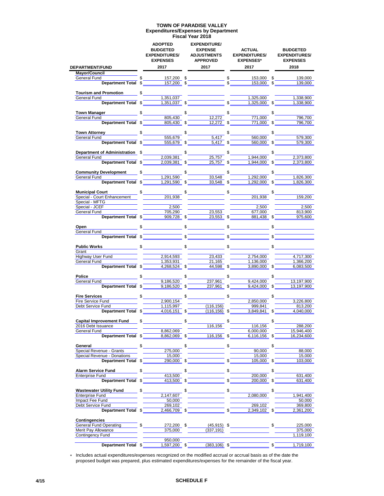#### **Expenditures/Expenses by Department TOWN OF PARADISE VALLEY**

**Fiscal Year 2018**

|                                                       |               | <b>ADOPTED</b><br><b>BUDGETED</b><br><b>EXPENDITURES/</b><br><b>EXPENSES</b> |    | <b>EXPENDITURE/</b><br><b>EXPENSE</b><br><b>ADJUSTMENTS</b><br><b>APPROVED</b> |    | <b>ACTUAL</b><br><b>EXPENDITURES/</b><br><b>EXPENSES*</b> | <b>BUDGETED</b><br><b>EXPENDITURES/</b><br><b>EXPENSES</b> |
|-------------------------------------------------------|---------------|------------------------------------------------------------------------------|----|--------------------------------------------------------------------------------|----|-----------------------------------------------------------|------------------------------------------------------------|
| <b>DEPARTMENT/FUND</b>                                |               | 2017                                                                         |    | 2017                                                                           |    | 2017                                                      | 2018                                                       |
| <b>Mayor/Council</b>                                  |               |                                                                              |    |                                                                                |    |                                                           |                                                            |
| General Fund                                          |               | 157,200 \$                                                                   |    | $rac{\text{1}}{\text{s}}$                                                      |    | 153,000 \$                                                | 139.000                                                    |
| Department Total \$                                   |               | 157,200                                                                      | \$ |                                                                                |    | 153,000 \$                                                | 139,000                                                    |
|                                                       |               |                                                                              |    |                                                                                |    |                                                           |                                                            |
| Tourism and Promotion<br>General Fund                 | $\mathfrak s$ | 1,351,037                                                                    |    |                                                                                |    | 1,325,000                                                 | 1,338,900                                                  |
| Department Total \$                                   |               | 1,351,037                                                                    |    |                                                                                | \$ | 1,325,000 \$                                              | 1,338,900                                                  |
|                                                       |               |                                                                              |    |                                                                                |    |                                                           |                                                            |
| <b>Town Manager</b> Manager                           |               | $\frac{1}{2}$                                                                | \$ |                                                                                | \$ |                                                           | \$                                                         |
| General Fund                                          |               | 805,430                                                                      |    | 12,272                                                                         |    | 771,000                                                   | 796,700                                                    |
| Department Total \$                                   |               | 805,430                                                                      | \$ | 12,272                                                                         | \$ | 771,000 \$                                                | 796,700                                                    |
|                                                       |               |                                                                              |    |                                                                                |    |                                                           |                                                            |
| <b>Town Attorney</b>                                  | \$            |                                                                              | \$ |                                                                                | \$ |                                                           | \$                                                         |
| General Fund                                          |               | 555,679                                                                      |    | 5.417                                                                          |    | 560,000                                                   | 579,300                                                    |
| Department Total \$                                   |               | 555,679 \$                                                                   |    | 5,417 \$                                                                       |    | 560,000 \$                                                | 579,300                                                    |
|                                                       |               |                                                                              |    |                                                                                |    |                                                           |                                                            |
| <b>Department of Administration</b>                   |               | $\mathbb{S}$ and $\mathbb{S}$                                                | \$ |                                                                                | \$ |                                                           | \$                                                         |
| General Fund<br>Seneral Fund                          |               | 2,039,381                                                                    |    | 25,757                                                                         |    | 1,944,000                                                 | 2,373,800                                                  |
| Department Total \$                                   |               | 2,039,381                                                                    | \$ | 25,757                                                                         | \$ | 1,944,000 \$                                              | 2,373,800                                                  |
| <b>Community Development</b>                          | \$            |                                                                              | \$ |                                                                                | \$ |                                                           | \$                                                         |
| General Fund                                          |               | 1,291,590                                                                    |    | 33,548                                                                         |    | 1,292,000                                                 | 1,826,300                                                  |
| Department Total \$                                   |               | 1,291,590                                                                    | \$ | 33,548                                                                         | \$ | 1.292.000                                                 | 1,826,300                                                  |
|                                                       |               |                                                                              |    |                                                                                |    |                                                           |                                                            |
| <b>Municipal Court</b>                                |               | $\frac{1}{2}$                                                                | \$ |                                                                                | \$ |                                                           | \$                                                         |
| Special - Court Enhancement                           |               | 201,938                                                                      |    |                                                                                |    | 201,938                                                   | 159.200                                                    |
| Special - MFTG                                        |               |                                                                              |    |                                                                                |    |                                                           |                                                            |
| Special - JCEF                                        |               | 2,500                                                                        |    |                                                                                |    | 2,500                                                     | 2,500                                                      |
| <b>General Fund</b>                                   |               | 705.290                                                                      |    | 23,553                                                                         |    | 677,000                                                   | 813,900                                                    |
| Department Total \$                                   |               | 909.728                                                                      | \$ | 23,553                                                                         |    | 881,438                                                   | 975,600                                                    |
|                                                       |               |                                                                              |    |                                                                                |    |                                                           |                                                            |
| Open                                                  | \$            |                                                                              |    |                                                                                |    |                                                           | \$                                                         |
| General Fund                                          |               |                                                                              |    |                                                                                |    |                                                           |                                                            |
| Department Total \$                                   |               |                                                                              | \$ |                                                                                | \$ |                                                           |                                                            |
|                                                       |               |                                                                              |    |                                                                                | \$ |                                                           |                                                            |
| <b>Public Works</b><br>Grant                          | $\mathbb{S}$  |                                                                              | \$ |                                                                                |    |                                                           | \$                                                         |
| Highway User Fund                                     |               | 2,914,593                                                                    |    | 23,433                                                                         |    | 2,754,000                                                 | 4,717,300                                                  |
| General Fund                                          |               | 1,353,931                                                                    |    | 21,165                                                                         |    | 1,136,000                                                 | 1,366,200                                                  |
| Department Total \$                                   |               | $4,268,524$ \$                                                               |    | $44,598$ \$                                                                    |    | 3,890,000 \$                                              | 6,083,500                                                  |
|                                                       |               |                                                                              |    |                                                                                |    |                                                           |                                                            |
| <b>Police</b>                                         |               |                                                                              | \$ |                                                                                | \$ |                                                           | \$                                                         |
| General Fund                                          |               | 9,186,520                                                                    |    | 237,961                                                                        |    | 9,424,000                                                 | 13,197,900                                                 |
| Department Total \$                                   |               | 9,186,520                                                                    | \$ | 237,961                                                                        | \$ | 9,424,000 \$                                              | 13,197,900                                                 |
|                                                       |               |                                                                              |    |                                                                                |    |                                                           |                                                            |
| <b>Fire Services</b>                                  | $\mathbb{S}$  |                                                                              | \$ |                                                                                | \$ |                                                           | \$                                                         |
| Fire Service Fund                                     |               | 2,900,154                                                                    |    |                                                                                |    | 2,850,000                                                 | 3,226,800                                                  |
| Debt Service Fund                                     |               | 1,115,997                                                                    |    | (116, 156)                                                                     |    | 999,841                                                   | 813,200                                                    |
| Department Total \$                                   |               | 4,016,151                                                                    | \$ | (116, 156)                                                                     | \$ | 3,849,841                                                 | \$<br>4,040,000                                            |
|                                                       |               |                                                                              |    |                                                                                |    |                                                           |                                                            |
| <b>Capital Improvement Fund</b><br>2016 Debt Issuance | \$            |                                                                              | \$ | 116,156                                                                        | \$ | 116,156                                                   | \$<br>288,200                                              |
| General Fund                                          |               | 8,862,069                                                                    |    |                                                                                |    | 6,000,000                                                 | 15,946,400                                                 |
| Department Total \$                                   |               | 8,862,069                                                                    | S  | 116,156                                                                        | \$ | 6,116,156                                                 | 16,234,600                                                 |
|                                                       |               |                                                                              |    |                                                                                |    |                                                           |                                                            |
| General                                               | \$            |                                                                              | \$ |                                                                                | \$ |                                                           | \$                                                         |
| <b>Special Revenue - Grants</b>                       |               | 275,000                                                                      |    |                                                                                |    | 90,000                                                    | 88.000                                                     |
| Special Revenue - Donations                           |               | 15,000                                                                       |    |                                                                                |    | 15,000                                                    | 15,000                                                     |
| <b>Department Total</b>                               | \$            | 290,000                                                                      | \$ |                                                                                | \$ | 105,000                                                   | \$<br>103,000                                              |
|                                                       |               |                                                                              |    |                                                                                |    |                                                           |                                                            |
| <b>Alarm Service Fund</b>                             | \$            |                                                                              | \$ |                                                                                | \$ |                                                           | \$                                                         |
| <b>Enterprise Fund</b>                                |               | 413,500                                                                      |    |                                                                                |    | 200,000                                                   | 631,400                                                    |
| <b>Department Total</b>                               | \$            | 413,500                                                                      | \$ |                                                                                | \$ | 200,000                                                   | \$<br>631,400                                              |
|                                                       |               |                                                                              |    |                                                                                |    |                                                           |                                                            |
| <b>Wastewater Utility Fund</b>                        | \$            |                                                                              | \$ |                                                                                | \$ |                                                           | \$                                                         |
| <b>Enterprise Fund</b>                                |               | 2,147,607                                                                    |    |                                                                                |    | 2,080,000                                                 | 1,941,400                                                  |
| Impact Fee Fund                                       |               | 50,000                                                                       |    |                                                                                |    |                                                           | 50,000                                                     |
| Debt Service Fund                                     |               | 269,102                                                                      |    |                                                                                |    | 269,102                                                   | 369,800                                                    |
| Department Total \$                                   |               | 2,466,709                                                                    | \$ |                                                                                | \$ | 2,349,102                                                 | \$<br>2,361,200                                            |
|                                                       |               |                                                                              |    |                                                                                |    |                                                           |                                                            |
| <b>Contingencies</b><br><b>General Fund Operating</b> | \$            | 272,200                                                                      | \$ | $(45, 915)$ \$                                                                 |    |                                                           | \$<br>225,000                                              |
| Merit Pay Allowance                                   |               | 375,000                                                                      |    | (337, 191)                                                                     |    |                                                           | 375,000                                                    |
| Contingency Fund                                      |               |                                                                              |    |                                                                                |    |                                                           | 1,119,100                                                  |
|                                                       |               | 950,000                                                                      |    |                                                                                |    |                                                           |                                                            |
| Department Total \$                                   |               | 1,597,200 \$                                                                 |    | $(383, 106)$ \$                                                                |    |                                                           | \$<br>1,719,100                                            |